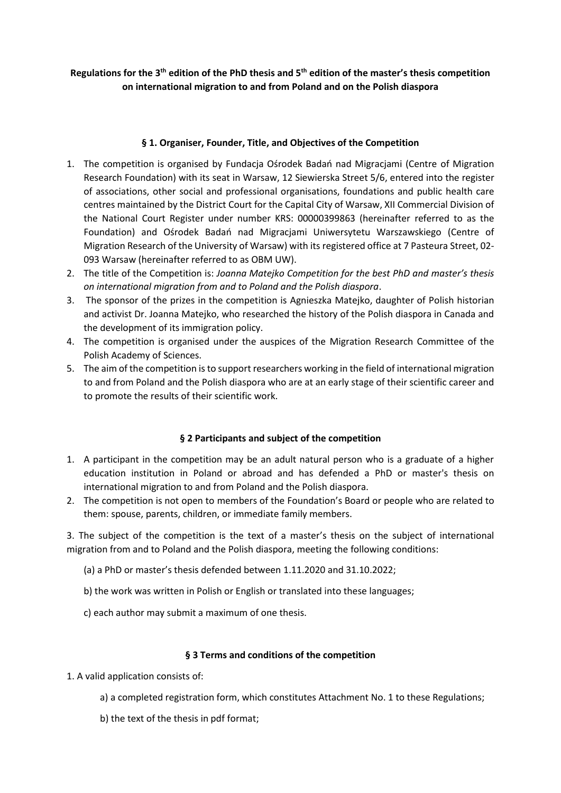# Regulations for the 3<sup>th</sup> edition of the PhD thesis and 5<sup>th</sup> edition of the master's thesis competition **on international migration to and from Poland and on the Polish diaspora**

## **§ 1. Organiser, Founder, Title, and Objectives of the Competition**

- 1. The competition is organised by Fundacja Ośrodek Badań nad Migracjami (Centre of Migration Research Foundation) with its seat in Warsaw, 12 Siewierska Street 5/6, entered into the register of associations, other social and professional organisations, foundations and public health care centres maintained by the District Court for the Capital City of Warsaw, XII Commercial Division of the National Court Register under number KRS: 00000399863 (hereinafter referred to as the Foundation) and Ośrodek Badań nad Migracjami Uniwersytetu Warszawskiego (Centre of Migration Research of the University of Warsaw) with its registered office at 7 Pasteura Street, 02- 093 Warsaw (hereinafter referred to as OBM UW).
- 2. The title of the Competition is: *Joanna Matejko Competition for the best PhD and master's thesis on international migration from and to Poland and the Polish diaspora*.
- 3. The sponsor of the prizes in the competition is Agnieszka Matejko, daughter of Polish historian and activist Dr. Joanna Matejko, who researched the history of the Polish diaspora in Canada and the development of its immigration policy.
- 4. The competition is organised under the auspices of the Migration Research Committee of the Polish Academy of Sciences.
- 5. The aim of the competition isto support researchers working in the field of international migration to and from Poland and the Polish diaspora who are at an early stage of their scientific career and to promote the results of their scientific work.

# **§ 2 Participants and subject of the competition**

- 1. A participant in the competition may be an adult natural person who is a graduate of a higher education institution in Poland or abroad and has defended a PhD or master's thesis on international migration to and from Poland and the Polish diaspora.
- 2. The competition is not open to members of the Foundation's Board or people who are related to them: spouse, parents, children, or immediate family members.

3. The subject of the competition is the text of a master's thesis on the subject of international migration from and to Poland and the Polish diaspora, meeting the following conditions:

- (a) a PhD or master's thesis defended between 1.11.2020 and 31.10.2022;
- b) the work was written in Polish or English or translated into these languages;
- c) each author may submit a maximum of one thesis.

#### **§ 3 Terms and conditions of the competition**

- 1. A valid application consists of:
	- a) a completed registration form, which constitutes Attachment No. 1 to these Regulations;
	- b) the text of the thesis in pdf format;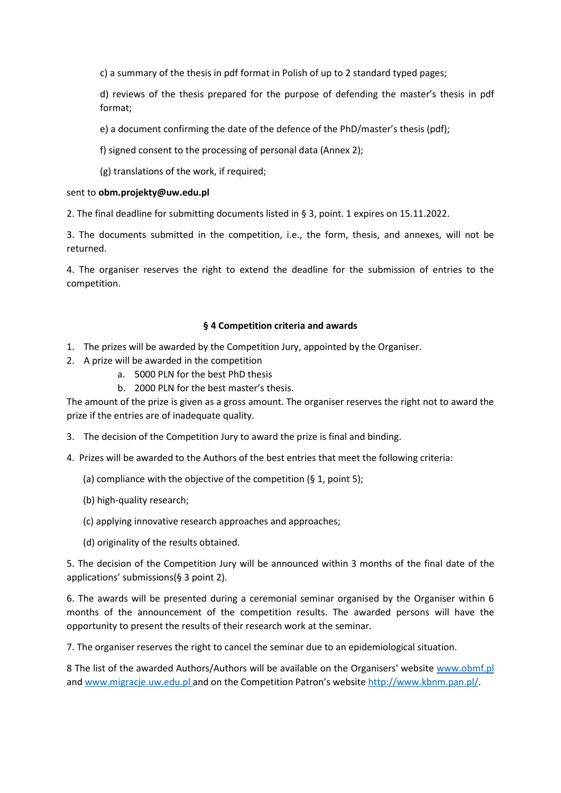c) a summary of the thesis in pdf format in Polish of up to 2 standard typed pages;

d) reviews of the thesis prepared for the purpose of defending the master's thesis in pdf format;

- e) a document confirming the date of the defence of the PhD/master's thesis (pdf);
- f) signed consent to the processing of personal data (Annex 2);
- (g) translations of the work, if required;

#### sent to **obm.projekty@uw.edu.pl**

2. The final deadline for submitting documents listed in § 3, point. 1 expires on 15.11.2022.

3. The documents submitted in the competition, i.e., the form, thesis, and annexes, will not be returned.

4. The organiser reserves the right to extend the deadline for the submission of entries to the competition.

#### **§ 4 Competition criteria and awards**

- 1. The prizes will be awarded by the Competition Jury, appointed by the Organiser.
- 2. A prize will be awarded in the competition
	- a. 5000 PLN for the best PhD thesis
	- b. 2000 PLN for the best master's thesis.

The amount of the prize is given as a gross amount. The organiser reserves the right not to award the prize if the entries are of inadequate quality.

- 3. The decision of the Competition Jury to award the prize is final and binding.
- 4. Prizes will be awarded to the Authors of the best entries that meet the following criteria:
	- (a) compliance with the objective of the competition (§ 1, point 5);
	- (b) high-quality research;
	- (c) applying innovative research approaches and approaches;
	- (d) originality of the results obtained.

5. The decision of the Competition Jury will be announced within 3 months of the final date of the applications' submissions(§ 3 point 2).

6. The awards will be presented during a ceremonial seminar organised by the Organiser within 6 months of the announcement of the competition results. The awarded persons will have the opportunity to present the results of their research work at the seminar.

7. The organiser reserves the right to cancel the seminar due to an epidemiological situation.

8 The list of the awarded Authors/Authors will be available on the Organisers' website [www.obmf.pl](http://www.obmf.pl/)  and [www.migracje.uw.edu.pl a](http://www.migracje.uw.edu.pl/)nd on the Competition Patron's website [http://www.kbnm.pan.pl/.](http://www.kbnm.pan.pl/)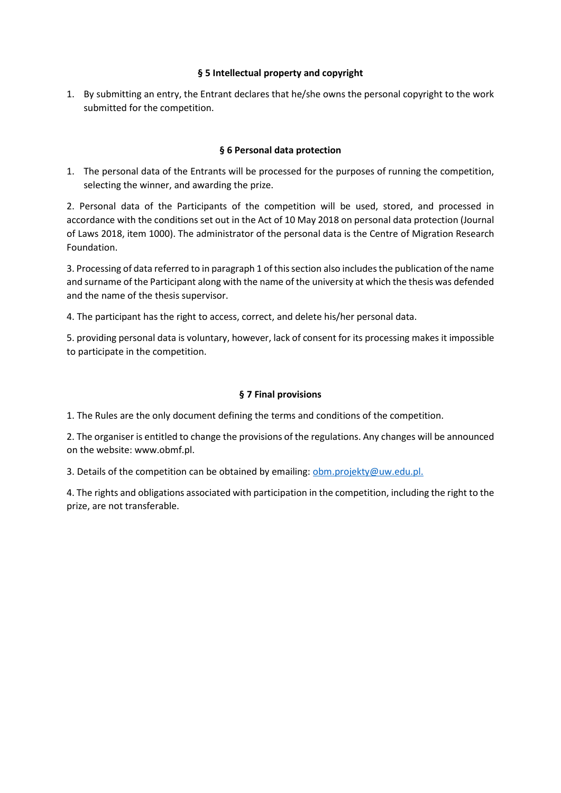## **§ 5 Intellectual property and copyright**

1. By submitting an entry, the Entrant declares that he/she owns the personal copyright to the work submitted for the competition.

## **§ 6 Personal data protection**

1. The personal data of the Entrants will be processed for the purposes of running the competition, selecting the winner, and awarding the prize.

2. Personal data of the Participants of the competition will be used, stored, and processed in accordance with the conditions set out in the Act of 10 May 2018 on personal data protection (Journal of Laws 2018, item 1000). The administrator of the personal data is the Centre of Migration Research Foundation.

3. Processing of data referred to in paragraph 1 of this section also includes the publication of the name and surname of the Participant along with the name of the university at which the thesis was defended and the name of the thesis supervisor.

4. The participant has the right to access, correct, and delete his/her personal data.

5. providing personal data is voluntary, however, lack of consent for its processing makes it impossible to participate in the competition.

## **§ 7 Final provisions**

1. The Rules are the only document defining the terms and conditions of the competition.

2. The organiser is entitled to change the provisions of the regulations. Any changes will be announced on the website: www.obmf.pl.

3. Details of the competition can be obtained by emailing: obm.projekty@uw.edu.pl.

4. The rights and obligations associated with participation in the competition, including the right to the prize, are not transferable.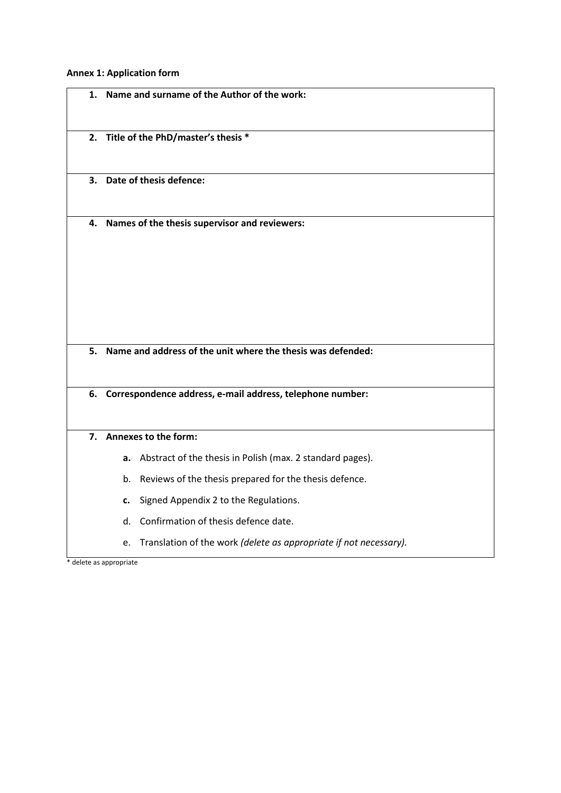**Annex 1: Application form** 

| 1. |                                                              |
|----|--------------------------------------------------------------|
|    | Name and surname of the Author of the work:                  |
|    | 2. Title of the PhD/master's thesis *                        |
|    | 3. Date of thesis defence:                                   |
|    | 4. Names of the thesis supervisor and reviewers:             |
|    |                                                              |
| 5. | Name and address of the unit where the thesis was defended:  |
|    | 6. Correspondence address, e-mail address, telephone number: |
|    |                                                              |
|    | 7. Annexes to the form:                                      |
|    | a. Abstract of the thesis in Polish (max. 2 standard pages). |
|    | b. Reviews of the thesis prepared for the thesis defence.    |
|    | Signed Appendix 2 to the Regulations.<br>c.                  |
|    | Confirmation of thesis defence date.<br>d.                   |

**L**<br>\* delete as appropriate